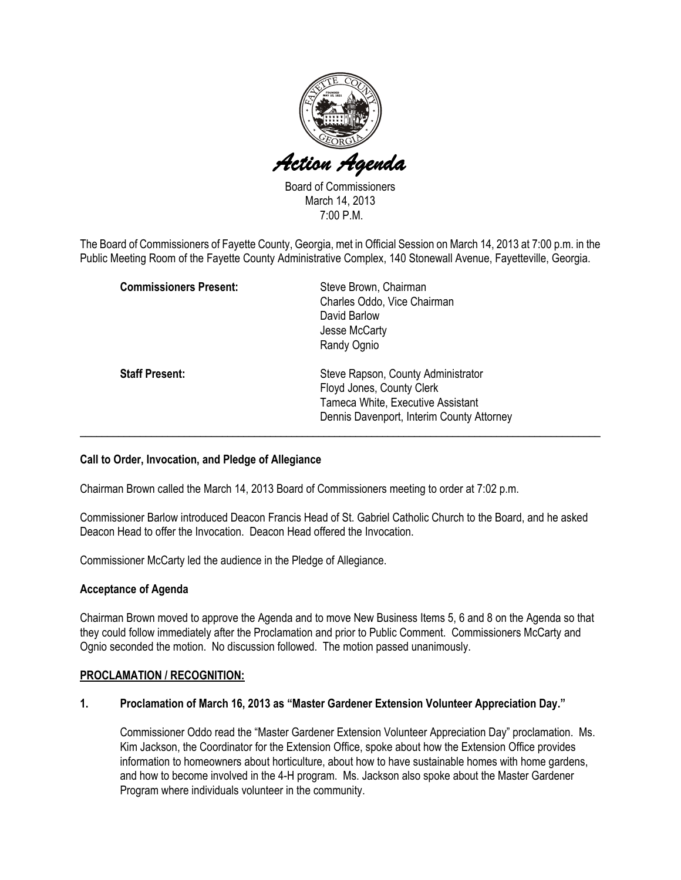

Board of Commissioners March 14, 2013 7:00 P.M.

The Board of Commissioners of Fayette County, Georgia, met in Official Session on March 14, 2013 at 7:00 p.m. in the Public Meeting Room of the Fayette County Administrative Complex, 140 Stonewall Avenue, Fayetteville, Georgia.

| <b>Commissioners Present:</b> | Steve Brown, Chairman<br>Charles Oddo, Vice Chairman<br>David Barlow<br>Jesse McCarty<br>Randy Ognio                                                     |
|-------------------------------|----------------------------------------------------------------------------------------------------------------------------------------------------------|
| <b>Staff Present:</b>         | Steve Rapson, County Administrator<br>Floyd Jones, County Clerk<br><b>Tameca White, Executive Assistant</b><br>Dennis Davenport, Interim County Attorney |

## Call to Order, Invocation, and Pledge of Allegiance

Chairman Brown called the March 14, 2013 Board of Commissioners meeting to order at 7:02 p.m.

Commissioner Barlow introduced Deacon Francis Head of St. Gabriel Catholic Church to the Board, and he asked Deacon Head to offer the Invocation. Deacon Head offered the Invocation.

Commissioner McCarty led the audience in the Pledge of Allegiance.

#### Acceptance of Agenda

Chairman Brown moved to approve the Agenda and to move New Business Items 5, 6 and 8 on the Agenda so that they could follow immediately after the Proclamation and prior to Public Comment. Commissioners McCarty and Ognio seconded the motion. No discussion followed. The motion passed unanimously.

#### PROCLAMATION / RECOGNITION:

#### 1. Proclamation of March 16, 2013 as "Master Gardener Extension Volunteer Appreciation Day."

Commissioner Oddo read the "Master Gardener Extension Volunteer Appreciation Day" proclamation. Ms. Kim Jackson, the Coordinator for the Extension Office, spoke about how the Extension Office provides information to homeowners about horticulture, about how to have sustainable homes with home gardens, and how to become involved in the 4-H program. Ms. Jackson also spoke about the Master Gardener Program where individuals volunteer in the community.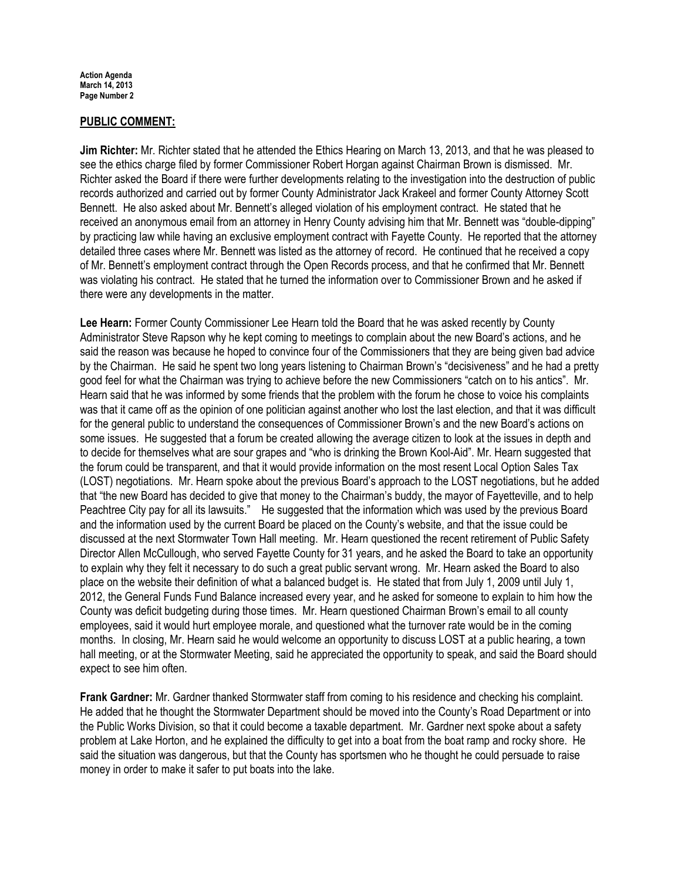## PUBLIC COMMENT:

**Jim Richter:** Mr. Richter stated that he attended the Ethics Hearing on March 13, 2013, and that he was pleased to see the ethics charge filed by former Commissioner Robert Horgan against Chairman Brown is dismissed. Mr. Richter asked the Board if there were further developments relating to the investigation into the destruction of public records authorized and carried out by former County Administrator Jack Krakeel and former County Attorney Scott Bennett. He also asked about Mr. Bennett's alleged violation of his employment contract. He stated that he received an anonymous email from an attorney in Henry County advising him that Mr. Bennett was "double-dipping" by practicing law while having an exclusive employment contract with Fayette County. He reported that the attorney detailed three cases where Mr. Bennett was listed as the attorney of record. He continued that he received a copy of Mr. Bennett's employment contract through the Open Records process, and that he confirmed that Mr. Bennett was violating his contract. He stated that he turned the information over to Commissioner Brown and he asked if there were any developments in the matter.

Lee Hearn: Former County Commissioner Lee Hearn told the Board that he was asked recently by County Administrator Steve Rapson why he kept coming to meetings to complain about the new Board's actions, and he said the reason was because he hoped to convince four of the Commissioners that they are being given bad advice by the Chairman. He said he spent two long years listening to Chairman Brown's "decisiveness" and he had a pretty good feel for what the Chairman was trying to achieve before the new Commissioners "catch on to his antics". Mr. Hearn said that he was informed by some friends that the problem with the forum he chose to voice his complaints was that it came off as the opinion of one politician against another who lost the last election, and that it was difficult for the general public to understand the consequences of Commissioner Brown's and the new Board's actions on some issues. He suggested that a forum be created allowing the average citizen to look at the issues in depth and to decide for themselves what are sour grapes and "who is drinking the Brown Kool-Aid". Mr. Hearn suggested that the forum could be transparent, and that it would provide information on the most resent Local Option Sales Tax (LOST) negotiations. Mr. Hearn spoke about the previous Board's approach to the LOST negotiations, but he added that "the new Board has decided to give that money to the Chairman's buddy, the mayor of Fayetteville, and to help Peachtree City pay for all its lawsuits." He suggested that the information which was used by the previous Board and the information used by the current Board be placed on the County's website, and that the issue could be discussed at the next Stormwater Town Hall meeting. Mr. Hearn questioned the recent retirement of Public Safety Director Allen McCullough, who served Fayette County for 31 years, and he asked the Board to take an opportunity to explain why they felt it necessary to do such a great public servant wrong. Mr. Hearn asked the Board to also place on the website their definition of what a balanced budget is. He stated that from July 1, 2009 until July 1, 2012, the General Funds Fund Balance increased every year, and he asked for someone to explain to him how the County was deficit budgeting during those times. Mr. Hearn questioned Chairman Brown's email to all county employees, said it would hurt employee morale, and questioned what the turnover rate would be in the coming months. In closing, Mr. Hearn said he would welcome an opportunity to discuss LOST at a public hearing, a town hall meeting, or at the Stormwater Meeting, said he appreciated the opportunity to speak, and said the Board should expect to see him often.

Frank Gardner: Mr. Gardner thanked Stormwater staff from coming to his residence and checking his complaint. He added that he thought the Stormwater Department should be moved into the County's Road Department or into the Public Works Division, so that it could become a taxable department. Mr. Gardner next spoke about a safety problem at Lake Horton, and he explained the difficulty to get into a boat from the boat ramp and rocky shore. He said the situation was dangerous, but that the County has sportsmen who he thought he could persuade to raise money in order to make it safer to put boats into the lake.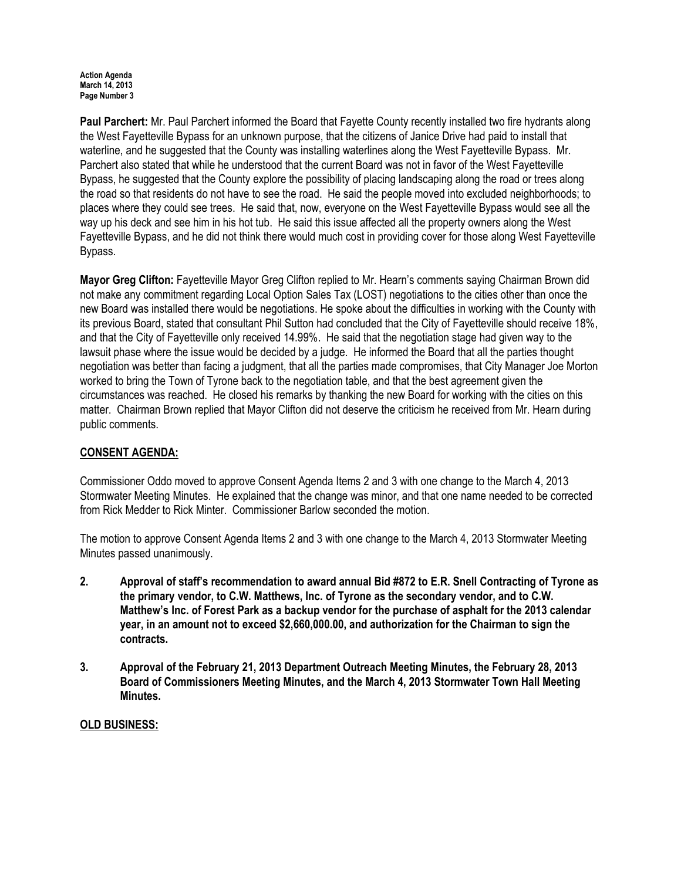Paul Parchert: Mr. Paul Parchert informed the Board that Fayette County recently installed two fire hydrants along the West Fayetteville Bypass for an unknown purpose, that the citizens of Janice Drive had paid to install that waterline, and he suggested that the County was installing waterlines along the West Fayetteville Bypass. Mr. Parchert also stated that while he understood that the current Board was not in favor of the West Fayetteville Bypass, he suggested that the County explore the possibility of placing landscaping along the road or trees along the road so that residents do not have to see the road. He said the people moved into excluded neighborhoods; to places where they could see trees. He said that, now, everyone on the West Fayetteville Bypass would see all the way up his deck and see him in his hot tub. He said this issue affected all the property owners along the West Fayetteville Bypass, and he did not think there would much cost in providing cover for those along West Fayetteville Bypass.

Mayor Greg Clifton: Fayetteville Mayor Greg Clifton replied to Mr. Hearn's comments saying Chairman Brown did not make any commitment regarding Local Option Sales Tax (LOST) negotiations to the cities other than once the new Board was installed there would be negotiations. He spoke about the difficulties in working with the County with its previous Board, stated that consultant Phil Sutton had concluded that the City of Fayetteville should receive 18%, and that the City of Fayetteville only received 14.99%. He said that the negotiation stage had given way to the lawsuit phase where the issue would be decided by a judge. He informed the Board that all the parties thought negotiation was better than facing a judgment, that all the parties made compromises, that City Manager Joe Morton worked to bring the Town of Tyrone back to the negotiation table, and that the best agreement given the circumstances was reached. He closed his remarks by thanking the new Board for working with the cities on this matter. Chairman Brown replied that Mayor Clifton did not deserve the criticism he received from Mr. Hearn during public comments.

# CONSENT AGENDA:

Commissioner Oddo moved to approve Consent Agenda Items 2 and 3 with one change to the March 4, 2013 Stormwater Meeting Minutes. He explained that the change was minor, and that one name needed to be corrected from Rick Medder to Rick Minter. Commissioner Barlow seconded the motion.

The motion to approve Consent Agenda Items 2 and 3 with one change to the March 4, 2013 Stormwater Meeting Minutes passed unanimously.

- 2. Approval of staff's recommendation to award annual Bid #872 to E.R. Snell Contracting of Tyrone as the primary vendor, to C.W. Matthews, Inc. of Tyrone as the secondary vendor, and to C.W. Matthew's Inc. of Forest Park as a backup vendor for the purchase of asphalt for the 2013 calendar year, in an amount not to exceed \$2,660,000.00, and authorization for the Chairman to sign the contracts.
- 3. Approval of the February 21, 2013 Department Outreach Meeting Minutes, the February 28, 2013 Board of Commissioners Meeting Minutes, and the March 4, 2013 Stormwater Town Hall Meeting Minutes.

# OLD BUSINESS: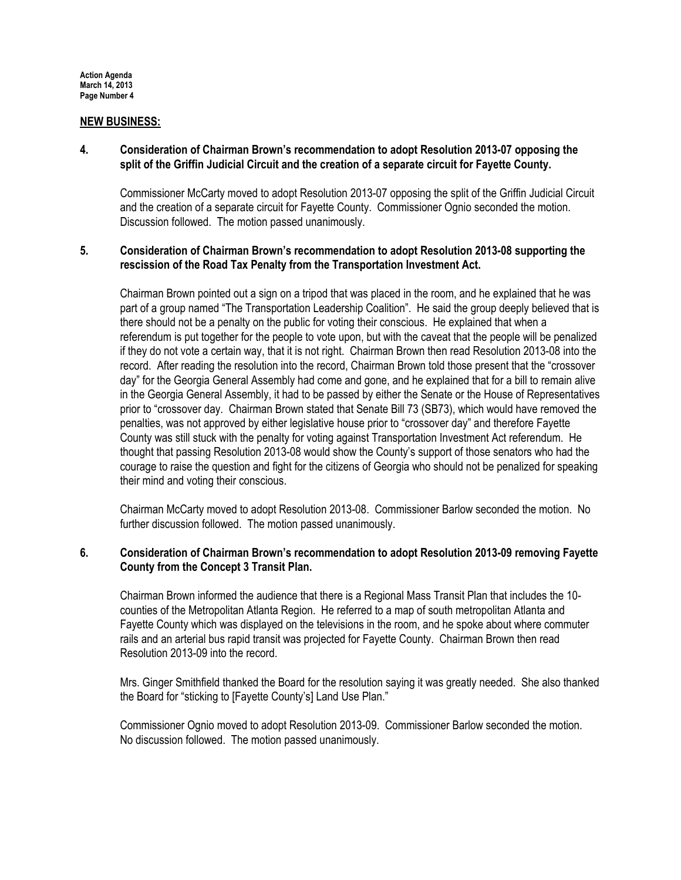#### NEW BUSINESS:

## 4. Consideration of Chairman Brown's recommendation to adopt Resolution 2013-07 opposing the split of the Griffin Judicial Circuit and the creation of a separate circuit for Fayette County.

Commissioner McCarty moved to adopt Resolution 2013-07 opposing the split of the Griffin Judicial Circuit and the creation of a separate circuit for Fayette County. Commissioner Ognio seconded the motion. Discussion followed. The motion passed unanimously.

## 5. Consideration of Chairman Brown's recommendation to adopt Resolution 2013-08 supporting the rescission of the Road Tax Penalty from the Transportation Investment Act.

Chairman Brown pointed out a sign on a tripod that was placed in the room, and he explained that he was part of a group named "The Transportation Leadership Coalition". He said the group deeply believed that is there should not be a penalty on the public for voting their conscious. He explained that when a referendum is put together for the people to vote upon, but with the caveat that the people will be penalized if they do not vote a certain way, that it is not right. Chairman Brown then read Resolution 2013-08 into the record. After reading the resolution into the record, Chairman Brown told those present that the "crossover day" for the Georgia General Assembly had come and gone, and he explained that for a bill to remain alive in the Georgia General Assembly, it had to be passed by either the Senate or the House of Representatives prior to "crossover day. Chairman Brown stated that Senate Bill 73 (SB73), which would have removed the penalties, was not approved by either legislative house prior to "crossover day" and therefore Fayette County was still stuck with the penalty for voting against Transportation Investment Act referendum. He thought that passing Resolution 2013-08 would show the County's support of those senators who had the courage to raise the question and fight for the citizens of Georgia who should not be penalized for speaking their mind and voting their conscious.

Chairman McCarty moved to adopt Resolution 2013-08. Commissioner Barlow seconded the motion. No further discussion followed. The motion passed unanimously.

## 6. Consideration of Chairman Brown's recommendation to adopt Resolution 2013-09 removing Fayette County from the Concept 3 Transit Plan.

Chairman Brown informed the audience that there is a Regional Mass Transit Plan that includes the 10 counties of the Metropolitan Atlanta Region. He referred to a map of south metropolitan Atlanta and Fayette County which was displayed on the televisions in the room, and he spoke about where commuter rails and an arterial bus rapid transit was projected for Fayette County. Chairman Brown then read Resolution 2013-09 into the record.

Mrs. Ginger Smithfield thanked the Board for the resolution saying it was greatly needed. She also thanked the Board for "sticking to [Fayette County's] Land Use Plan."

Commissioner Ognio moved to adopt Resolution 2013-09. Commissioner Barlow seconded the motion. No discussion followed. The motion passed unanimously.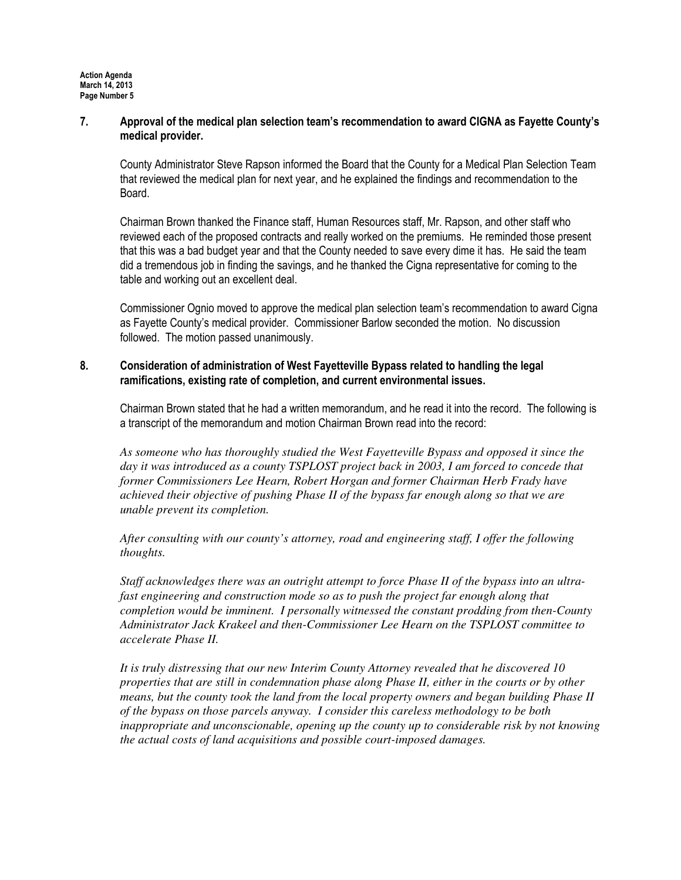## 7. Approval of the medical plan selection team's recommendation to award CIGNA as Fayette County's medical provider.

County Administrator Steve Rapson informed the Board that the County for a Medical Plan Selection Team that reviewed the medical plan for next year, and he explained the findings and recommendation to the Board.

Chairman Brown thanked the Finance staff, Human Resources staff, Mr. Rapson, and other staff who reviewed each of the proposed contracts and really worked on the premiums. He reminded those present that this was a bad budget year and that the County needed to save every dime it has. He said the team did a tremendous job in finding the savings, and he thanked the Cigna representative for coming to the table and working out an excellent deal.

Commissioner Ognio moved to approve the medical plan selection team's recommendation to award Cigna as Fayette County's medical provider. Commissioner Barlow seconded the motion. No discussion followed. The motion passed unanimously.

## 8. Consideration of administration of West Fayetteville Bypass related to handling the legal ramifications, existing rate of completion, and current environmental issues.

Chairman Brown stated that he had a written memorandum, and he read it into the record. The following is a transcript of the memorandum and motion Chairman Brown read into the record:

*As someone who has thoroughly studied the West Fayetteville Bypass and opposed it since the day it was introduced as a county TSPLOST project back in 2003, I am forced to concede that former Commissioners Lee Hearn, Robert Horgan and former Chairman Herb Frady have achieved their objective of pushing Phase II of the bypass far enough along so that we are unable prevent its completion.*

*After consulting with our county's attorney, road and engineering staff, I offer the following thoughts.*

*Staff acknowledges there was an outright attempt to force Phase II of the bypass into an ultrafast engineering and construction mode so as to push the project far enough along that completion would be imminent. I personally witnessed the constant prodding from then-County Administrator Jack Krakeel and then-Commissioner Lee Hearn on the TSPLOST committee to accelerate Phase II.*

 *It is truly distressing that our new Interim County Attorney revealed that he discovered 10 properties that are still in condemnation phase along Phase II, either in the courts or by other means, but the county took the land from the local property owners and began building Phase II of the bypass on those parcels anyway. I consider this careless methodology to be both inappropriate and unconscionable, opening up the county up to considerable risk by not knowing the actual costs of land acquisitions and possible court-imposed damages.*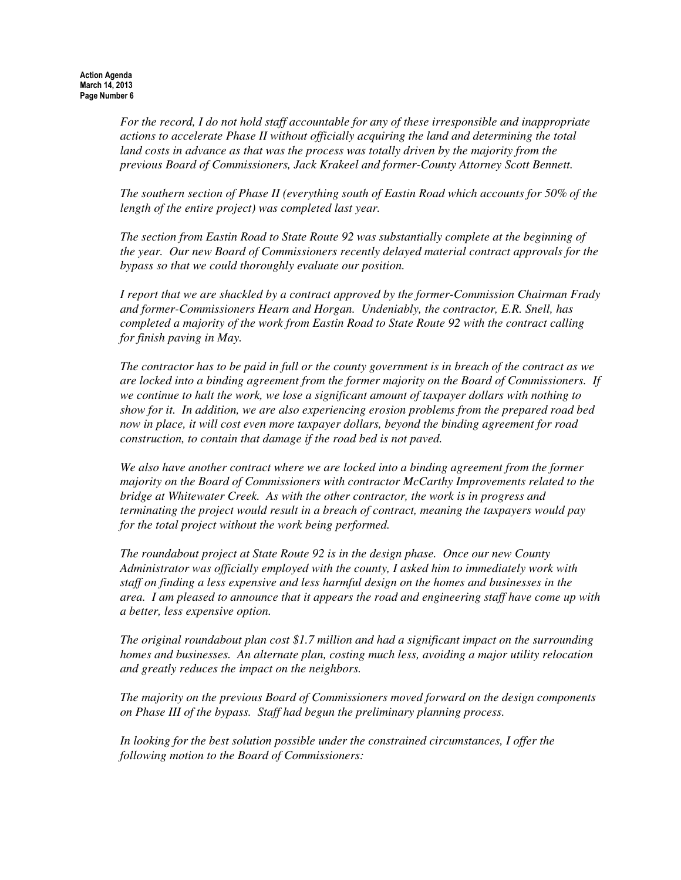*For the record, I do not hold staff accountable for any of these irresponsible and inappropriate actions to accelerate Phase II without officially acquiring the land and determining the total land costs in advance as that was the process was totally driven by the majority from the previous Board of Commissioners, Jack Krakeel and former-County Attorney Scott Bennett.* 

*The southern section of Phase II (everything south of Eastin Road which accounts for 50% of the length of the entire project) was completed last year.*

*The section from Eastin Road to State Route 92 was substantially complete at the beginning of the year. Our new Board of Commissioners recently delayed material contract approvals for the bypass so that we could thoroughly evaluate our position.*

*I report that we are shackled by a contract approved by the former-Commission Chairman Frady and former-Commissioners Hearn and Horgan. Undeniably, the contractor, E.R. Snell, has completed a majority of the work from Eastin Road to State Route 92 with the contract calling for finish paving in May.*

*The contractor has to be paid in full or the county government is in breach of the contract as we are locked into a binding agreement from the former majority on the Board of Commissioners. If we continue to halt the work, we lose a significant amount of taxpayer dollars with nothing to show for it. In addition, we are also experiencing erosion problems from the prepared road bed now in place, it will cost even more taxpayer dollars, beyond the binding agreement for road construction, to contain that damage if the road bed is not paved.*

*We also have another contract where we are locked into a binding agreement from the former majority on the Board of Commissioners with contractor McCarthy Improvements related to the bridge at Whitewater Creek. As with the other contractor, the work is in progress and terminating the project would result in a breach of contract, meaning the taxpayers would pay for the total project without the work being performed.*

*The roundabout project at State Route 92 is in the design phase. Once our new County Administrator was officially employed with the county, I asked him to immediately work with staff on finding a less expensive and less harmful design on the homes and businesses in the area. I am pleased to announce that it appears the road and engineering staff have come up with a better, less expensive option.*

*The original roundabout plan cost \$1.7 million and had a significant impact on the surrounding homes and businesses. An alternate plan, costing much less, avoiding a major utility relocation and greatly reduces the impact on the neighbors.*

*The majority on the previous Board of Commissioners moved forward on the design components on Phase III of the bypass. Staff had begun the preliminary planning process.*

*In looking for the best solution possible under the constrained circumstances, I offer the following motion to the Board of Commissioners:*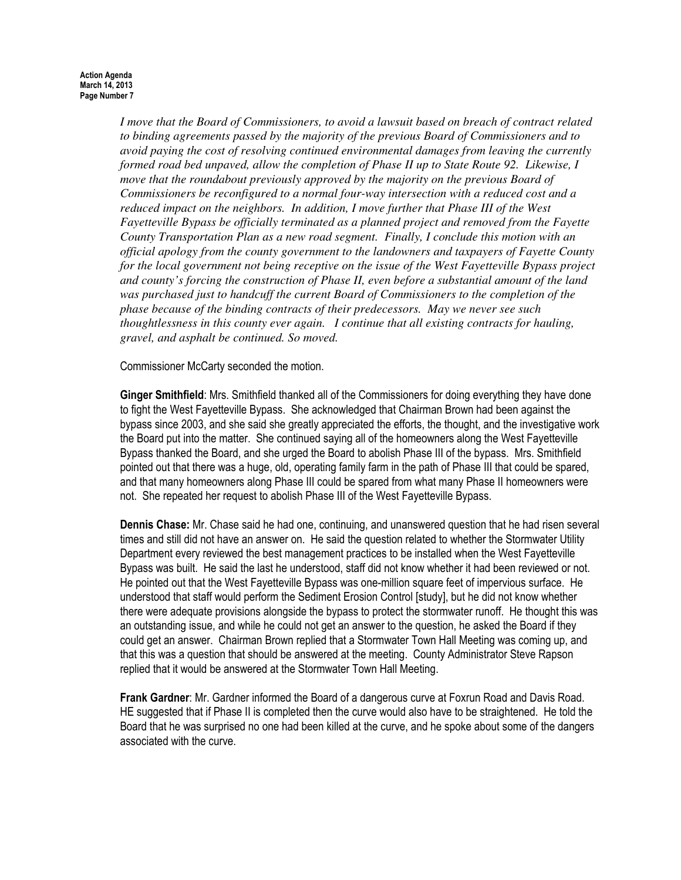*I move that the Board of Commissioners, to avoid a lawsuit based on breach of contract related to binding agreements passed by the majority of the previous Board of Commissioners and to avoid paying the cost of resolving continued environmental damages from leaving the currently formed road bed unpaved, allow the completion of Phase II up to State Route 92. Likewise, I move that the roundabout previously approved by the majority on the previous Board of Commissioners be reconfigured to a normal four-way intersection with a reduced cost and a reduced impact on the neighbors. In addition, I move further that Phase III of the West Fayetteville Bypass be officially terminated as a planned project and removed from the Fayette County Transportation Plan as a new road segment. Finally, I conclude this motion with an official apology from the county government to the landowners and taxpayers of Fayette County for the local government not being receptive on the issue of the West Fayetteville Bypass project and county's forcing the construction of Phase II, even before a substantial amount of the land was purchased just to handcuff the current Board of Commissioners to the completion of the phase because of the binding contracts of their predecessors. May we never see such thoughtlessness in this county ever again. I continue that all existing contracts for hauling, gravel, and asphalt be continued. So moved.*

Commissioner McCarty seconded the motion.

Ginger Smithfield: Mrs. Smithfield thanked all of the Commissioners for doing everything they have done to fight the West Fayetteville Bypass. She acknowledged that Chairman Brown had been against the bypass since 2003, and she said she greatly appreciated the efforts, the thought, and the investigative work the Board put into the matter. She continued saying all of the homeowners along the West Fayetteville Bypass thanked the Board, and she urged the Board to abolish Phase III of the bypass. Mrs. Smithfield pointed out that there was a huge, old, operating family farm in the path of Phase III that could be spared, and that many homeowners along Phase III could be spared from what many Phase II homeowners were not. She repeated her request to abolish Phase III of the West Fayetteville Bypass.

Dennis Chase: Mr. Chase said he had one, continuing, and unanswered question that he had risen several times and still did not have an answer on. He said the question related to whether the Stormwater Utility Department every reviewed the best management practices to be installed when the West Fayetteville Bypass was built. He said the last he understood, staff did not know whether it had been reviewed or not. He pointed out that the West Fayetteville Bypass was one-million square feet of impervious surface. He understood that staff would perform the Sediment Erosion Control [study], but he did not know whether there were adequate provisions alongside the bypass to protect the stormwater runoff. He thought this was an outstanding issue, and while he could not get an answer to the question, he asked the Board if they could get an answer. Chairman Brown replied that a Stormwater Town Hall Meeting was coming up, and that this was a question that should be answered at the meeting. County Administrator Steve Rapson replied that it would be answered at the Stormwater Town Hall Meeting.

Frank Gardner: Mr. Gardner informed the Board of a dangerous curve at Foxrun Road and Davis Road. HE suggested that if Phase II is completed then the curve would also have to be straightened. He told the Board that he was surprised no one had been killed at the curve, and he spoke about some of the dangers associated with the curve.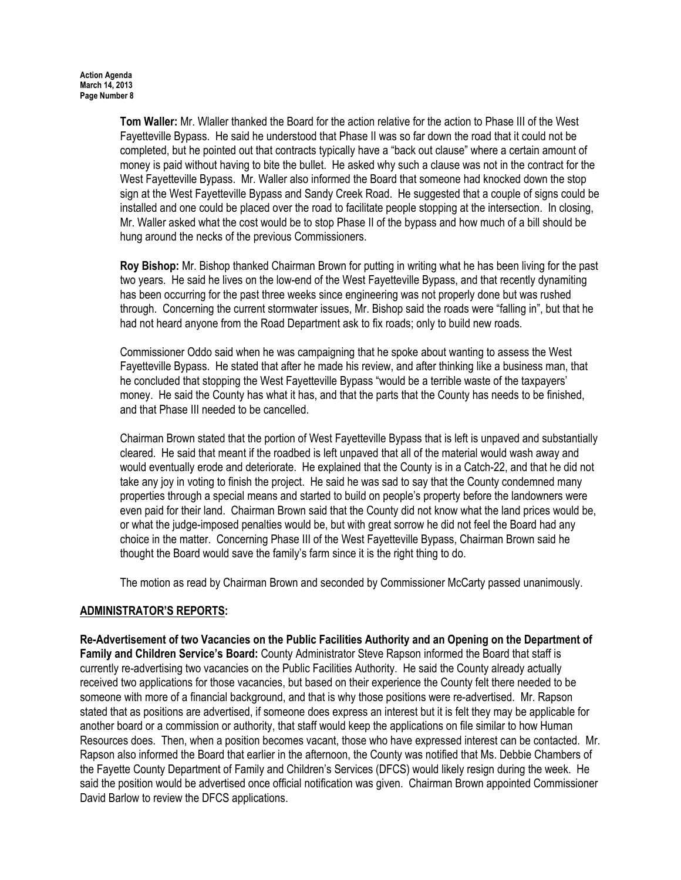Tom Waller: Mr. Wlaller thanked the Board for the action relative for the action to Phase III of the West Fayetteville Bypass. He said he understood that Phase II was so far down the road that it could not be completed, but he pointed out that contracts typically have a "back out clause" where a certain amount of money is paid without having to bite the bullet. He asked why such a clause was not in the contract for the West Fayetteville Bypass. Mr. Waller also informed the Board that someone had knocked down the stop sign at the West Fayetteville Bypass and Sandy Creek Road. He suggested that a couple of signs could be installed and one could be placed over the road to facilitate people stopping at the intersection. In closing, Mr. Waller asked what the cost would be to stop Phase II of the bypass and how much of a bill should be hung around the necks of the previous Commissioners.

Roy Bishop: Mr. Bishop thanked Chairman Brown for putting in writing what he has been living for the past two years. He said he lives on the low-end of the West Fayetteville Bypass, and that recently dynamiting has been occurring for the past three weeks since engineering was not properly done but was rushed through. Concerning the current stormwater issues, Mr. Bishop said the roads were "falling in", but that he had not heard anyone from the Road Department ask to fix roads; only to build new roads.

Commissioner Oddo said when he was campaigning that he spoke about wanting to assess the West Fayetteville Bypass. He stated that after he made his review, and after thinking like a business man, that he concluded that stopping the West Fayetteville Bypass "would be a terrible waste of the taxpayers' money. He said the County has what it has, and that the parts that the County has needs to be finished, and that Phase III needed to be cancelled.

Chairman Brown stated that the portion of West Fayetteville Bypass that is left is unpaved and substantially cleared. He said that meant if the roadbed is left unpaved that all of the material would wash away and would eventually erode and deteriorate. He explained that the County is in a Catch-22, and that he did not take any joy in voting to finish the project. He said he was sad to say that the County condemned many properties through a special means and started to build on people's property before the landowners were even paid for their land. Chairman Brown said that the County did not know what the land prices would be, or what the judge-imposed penalties would be, but with great sorrow he did not feel the Board had any choice in the matter. Concerning Phase III of the West Fayetteville Bypass, Chairman Brown said he thought the Board would save the family's farm since it is the right thing to do.

The motion as read by Chairman Brown and seconded by Commissioner McCarty passed unanimously.

# ADMINISTRATOR'S REPORTS:

Re-Advertisement of two Vacancies on the Public Facilities Authority and an Opening on the Department of Family and Children Service's Board: County Administrator Steve Rapson informed the Board that staff is currently re-advertising two vacancies on the Public Facilities Authority. He said the County already actually received two applications for those vacancies, but based on their experience the County felt there needed to be someone with more of a financial background, and that is why those positions were re-advertised. Mr. Rapson stated that as positions are advertised, if someone does express an interest but it is felt they may be applicable for another board or a commission or authority, that staff would keep the applications on file similar to how Human Resources does. Then, when a position becomes vacant, those who have expressed interest can be contacted. Mr. Rapson also informed the Board that earlier in the afternoon, the County was notified that Ms. Debbie Chambers of the Fayette County Department of Family and Children's Services (DFCS) would likely resign during the week. He said the position would be advertised once official notification was given. Chairman Brown appointed Commissioner David Barlow to review the DFCS applications.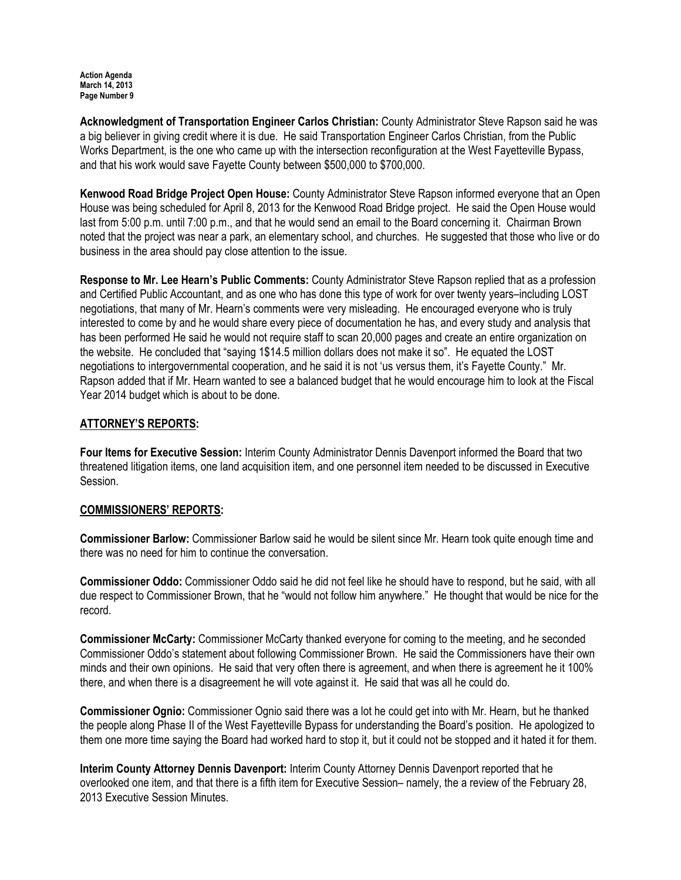Acknowledgment of Transportation Engineer Carlos Christian: County Administrator Steve Rapson said he was a big believer in giving credit where it is due. He said Transportation Engineer Carlos Christian, from the Public Works Department, is the one who came up with the intersection reconfiguration at the West Fayetteville Bypass, and that his work would save Fayette County between \$500,000 to \$700,000.

Kenwood Road Bridge Project Open House: County Administrator Steve Rapson informed everyone that an Open House was being scheduled for April 8, 2013 for the Kenwood Road Bridge project. He said the Open House would last from 5:00 p.m. until 7:00 p.m., and that he would send an email to the Board concerning it. Chairman Brown noted that the project was near a park, an elementary school, and churches. He suggested that those who live or do business in the area should pay close attention to the issue.

Response to Mr. Lee Hearn's Public Comments: County Administrator Steve Rapson replied that as a profession and Certified Public Accountant, and as one who has done this type of work for over twenty years–including LOST negotiations, that many of Mr. Hearn's comments were very misleading. He encouraged everyone who is truly interested to come by and he would share every piece of documentation he has, and every study and analysis that has been performed He said he would not require staff to scan 20,000 pages and create an entire organization on the website. He concluded that "saying 1\$14.5 million dollars does not make it so". He equated the LOST negotiations to intergovernmental cooperation, and he said it is not 'us versus them, it's Fayette County." Mr. Rapson added that if Mr. Hearn wanted to see a balanced budget that he would encourage him to look at the Fiscal Year 2014 budget which is about to be done.

## ATTORNEY'S REPORTS:

Four Items for Executive Session: Interim County Administrator Dennis Davenport informed the Board that two threatened litigation items, one land acquisition item, and one personnel item needed to be discussed in Executive Session.

## COMMISSIONERS' REPORTS:

Commissioner Barlow: Commissioner Barlow said he would be silent since Mr. Hearn took quite enough time and there was no need for him to continue the conversation.

Commissioner Oddo: Commissioner Oddo said he did not feel like he should have to respond, but he said, with all due respect to Commissioner Brown, that he "would not follow him anywhere." He thought that would be nice for the record.

Commissioner McCarty: Commissioner McCarty thanked everyone for coming to the meeting, and he seconded Commissioner Oddo's statement about following Commissioner Brown. He said the Commissioners have their own minds and their own opinions. He said that very often there is agreement, and when there is agreement he it 100% there, and when there is a disagreement he will vote against it. He said that was all he could do.

Commissioner Ognio: Commissioner Ognio said there was a lot he could get into with Mr. Hearn, but he thanked the people along Phase II of the West Fayetteville Bypass for understanding the Board's position. He apologized to them one more time saying the Board had worked hard to stop it, but it could not be stopped and it hated it for them.

Interim County Attorney Dennis Davenport: Interim County Attorney Dennis Davenport reported that he overlooked one item, and that there is a fifth item for Executive Session– namely, the a review of the February 28, 2013 Executive Session Minutes.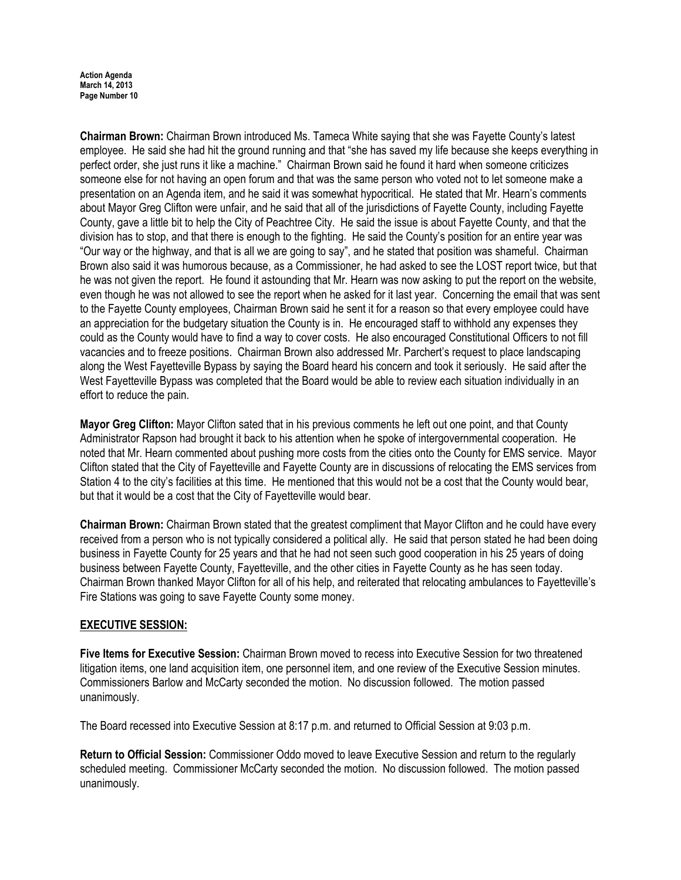Chairman Brown: Chairman Brown introduced Ms. Tameca White saying that she was Fayette County's latest employee. He said she had hit the ground running and that "she has saved my life because she keeps everything in perfect order, she just runs it like a machine." Chairman Brown said he found it hard when someone criticizes someone else for not having an open forum and that was the same person who voted not to let someone make a presentation on an Agenda item, and he said it was somewhat hypocritical. He stated that Mr. Hearn's comments about Mayor Greg Clifton were unfair, and he said that all of the jurisdictions of Fayette County, including Fayette County, gave a little bit to help the City of Peachtree City. He said the issue is about Fayette County, and that the division has to stop, and that there is enough to the fighting. He said the County's position for an entire year was "Our way or the highway, and that is all we are going to say", and he stated that position was shameful. Chairman Brown also said it was humorous because, as a Commissioner, he had asked to see the LOST report twice, but that he was not given the report. He found it astounding that Mr. Hearn was now asking to put the report on the website, even though he was not allowed to see the report when he asked for it last year. Concerning the email that was sent to the Fayette County employees, Chairman Brown said he sent it for a reason so that every employee could have an appreciation for the budgetary situation the County is in. He encouraged staff to withhold any expenses they could as the County would have to find a way to cover costs. He also encouraged Constitutional Officers to not fill vacancies and to freeze positions. Chairman Brown also addressed Mr. Parchert's request to place landscaping along the West Fayetteville Bypass by saying the Board heard his concern and took it seriously. He said after the West Fayetteville Bypass was completed that the Board would be able to review each situation individually in an effort to reduce the pain.

Mayor Greg Clifton: Mayor Clifton sated that in his previous comments he left out one point, and that County Administrator Rapson had brought it back to his attention when he spoke of intergovernmental cooperation. He noted that Mr. Hearn commented about pushing more costs from the cities onto the County for EMS service. Mayor Clifton stated that the City of Fayetteville and Fayette County are in discussions of relocating the EMS services from Station 4 to the city's facilities at this time. He mentioned that this would not be a cost that the County would bear, but that it would be a cost that the City of Fayetteville would bear.

Chairman Brown: Chairman Brown stated that the greatest compliment that Mayor Clifton and he could have every received from a person who is not typically considered a political ally. He said that person stated he had been doing business in Fayette County for 25 years and that he had not seen such good cooperation in his 25 years of doing business between Fayette County, Fayetteville, and the other cities in Fayette County as he has seen today. Chairman Brown thanked Mayor Clifton for all of his help, and reiterated that relocating ambulances to Fayetteville's Fire Stations was going to save Fayette County some money.

# EXECUTIVE SESSION:

Five Items for Executive Session: Chairman Brown moved to recess into Executive Session for two threatened litigation items, one land acquisition item, one personnel item, and one review of the Executive Session minutes. Commissioners Barlow and McCarty seconded the motion. No discussion followed. The motion passed unanimously.

The Board recessed into Executive Session at 8:17 p.m. and returned to Official Session at 9:03 p.m.

Return to Official Session: Commissioner Oddo moved to leave Executive Session and return to the regularly scheduled meeting. Commissioner McCarty seconded the motion. No discussion followed. The motion passed unanimously.